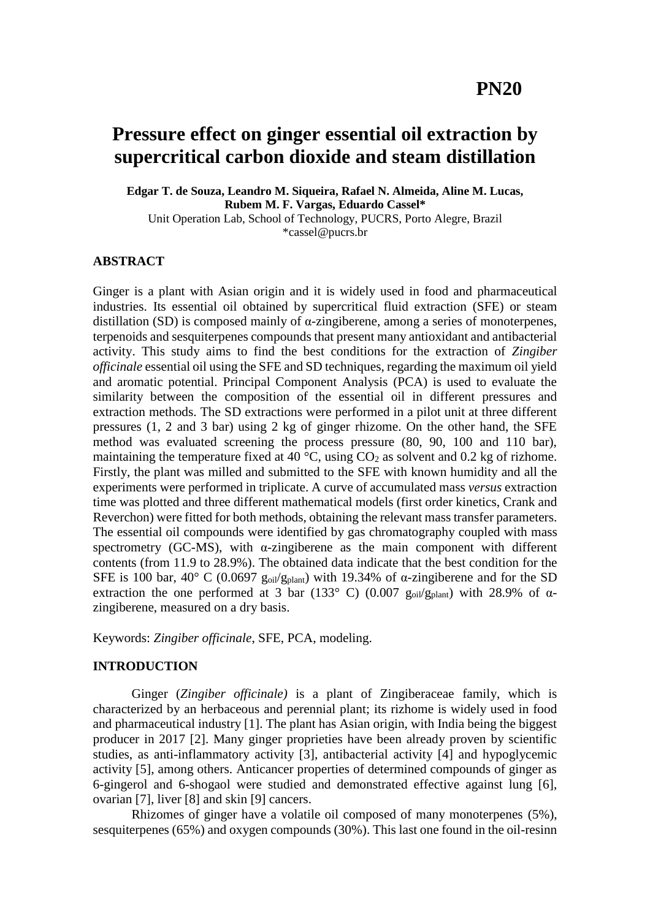# **Pressure effect on ginger essential oil extraction by supercritical carbon dioxide and steam distillation**

**Edgar T. de Souza, Leandro M. Siqueira, Rafael N. Almeida, Aline M. Lucas, Rubem M. F. Vargas, Eduardo Cassel\*** Unit Operation Lab, School of Technology, PUCRS, Porto Alegre, Brazil

\*cassel@pucrs.br

# **ABSTRACT**

Ginger is a plant with Asian origin and it is widely used in food and pharmaceutical industries. Its essential oil obtained by supercritical fluid extraction (SFE) or steam distillation (SD) is composed mainly of α-zingiberene, among a series of monoterpenes, terpenoids and sesquiterpenes compounds that present many antioxidant and antibacterial activity. This study aims to find the best conditions for the extraction of *Zingiber officinale* essential oil using the SFE and SD techniques, regarding the maximum oil yield and aromatic potential. Principal Component Analysis (PCA) is used to evaluate the similarity between the composition of the essential oil in different pressures and extraction methods. The SD extractions were performed in a pilot unit at three different pressures (1, 2 and 3 bar) using 2 kg of ginger rhizome. On the other hand, the SFE method was evaluated screening the process pressure (80, 90, 100 and 110 bar), maintaining the temperature fixed at 40  $\degree$ C, using CO<sub>2</sub> as solvent and 0.2 kg of rizhome. Firstly, the plant was milled and submitted to the SFE with known humidity and all the experiments were performed in triplicate. A curve of accumulated mass *versus* extraction time was plotted and three different mathematical models (first order kinetics, Crank and Reverchon) were fitted for both methods, obtaining the relevant mass transfer parameters. The essential oil compounds were identified by gas chromatography coupled with mass spectrometry (GC-MS), with  $\alpha$ -zingiberene as the main component with different contents (from 11.9 to 28.9%). The obtained data indicate that the best condition for the SFE is 100 bar, 40° C (0.0697  $g_{oil}/g_{plant}$ ) with 19.34% of α-zingiberene and for the SD extraction the one performed at 3 bar (133 $\degree$  C) (0.007 goil/g<sub>plant</sub>) with 28.9% of  $\alpha$ zingiberene, measured on a dry basis.

Keywords: *Zingiber officinale*, SFE, PCA, modeling.

# **INTRODUCTION**

Ginger (*Zingiber officinale)* is a plant of Zingiberaceae family, which is characterized by an herbaceous and perennial plant; its rizhome is widely used in food and pharmaceutical industry [1]. The plant has Asian origin, with India being the biggest producer in 2017 [2]. Many ginger proprieties have been already proven by scientific studies, as anti-inflammatory activity [3], antibacterial activity [4] and hypoglycemic activity [5], among others. Anticancer properties of determined compounds of ginger as 6-gingerol and 6-shogaol were studied and demonstrated effective against lung [6], ovarian [7], liver [8] and skin [9] cancers.

Rhizomes of ginger have a volatile oil composed of many monoterpenes (5%), sesquiterpenes (65%) and oxygen compounds (30%). This last one found in the oil-resinn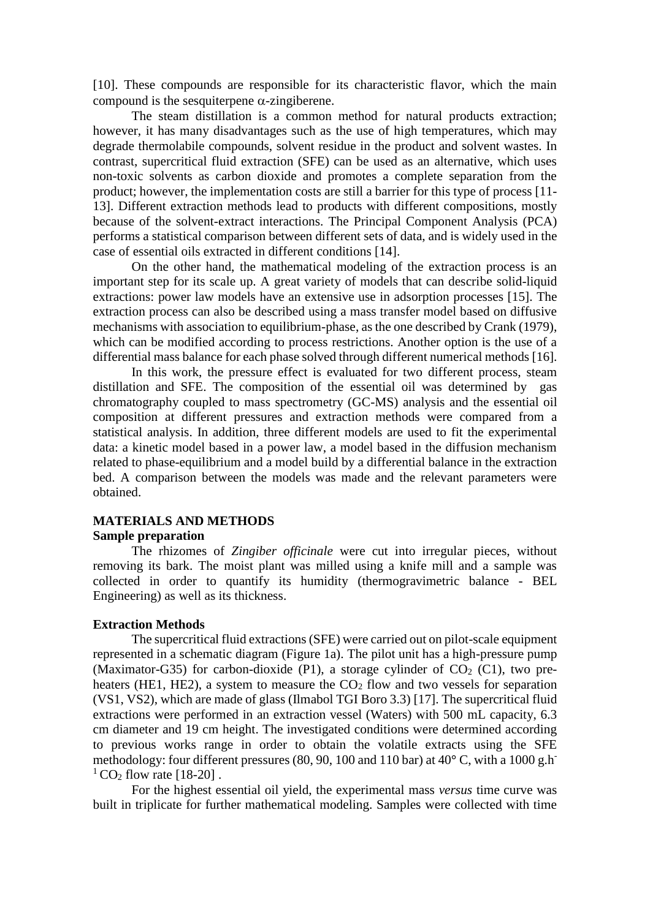[10]. These compounds are responsible for its characteristic flavor, which the main compound is the sesquiterpene  $\alpha$ -zingiberene.

The steam distillation is a common method for natural products extraction; however, it has many disadvantages such as the use of high temperatures, which may degrade thermolabile compounds, solvent residue in the product and solvent wastes. In contrast, supercritical fluid extraction (SFE) can be used as an alternative, which uses non-toxic solvents as carbon dioxide and promotes a complete separation from the product; however, the implementation costs are still a barrier for this type of process [11- 13]. Different extraction methods lead to products with different compositions, mostly because of the solvent-extract interactions. The Principal Component Analysis (PCA) performs a statistical comparison between different sets of data, and is widely used in the case of essential oils extracted in different conditions [14].

On the other hand, the mathematical modeling of the extraction process is an important step for its scale up. A great variety of models that can describe solid-liquid extractions: power law models have an extensive use in adsorption processes [15]. The extraction process can also be described using a mass transfer model based on diffusive mechanisms with association to equilibrium-phase, as the one described by Crank (1979), which can be modified according to process restrictions. Another option is the use of a differential mass balance for each phase solved through different numerical methods [16].

In this work, the pressure effect is evaluated for two different process, steam distillation and SFE. The composition of the essential oil was determined by gas chromatography coupled to mass spectrometry (GC-MS) analysis and the essential oil composition at different pressures and extraction methods were compared from a statistical analysis. In addition, three different models are used to fit the experimental data: a kinetic model based in a power law, a model based in the diffusion mechanism related to phase-equilibrium and a model build by a differential balance in the extraction bed. A comparison between the models was made and the relevant parameters were obtained.

# **MATERIALS AND METHODS**

# **Sample preparation**

The rhizomes of *Zingiber officinale* were cut into irregular pieces, without removing its bark. The moist plant was milled using a knife mill and a sample was collected in order to quantify its humidity (thermogravimetric balance - BEL Engineering) as well as its thickness.

## **Extraction Methods**

The supercritical fluid extractions (SFE) were carried out on pilot-scale equipment represented in a schematic diagram (Figure 1a). The pilot unit has a high-pressure pump (Maximator-G35) for carbon-dioxide (P1), a storage cylinder of  $CO<sub>2</sub>$  (C1), two preheaters (HE1, HE2), a system to measure the  $CO<sub>2</sub>$  flow and two vessels for separation (VS1, VS2), which are made of glass (Ilmabol TGI Boro 3.3) [17]. The supercritical fluid extractions were performed in an extraction vessel (Waters) with 500 mL capacity, 6.3 cm diameter and 19 cm height. The investigated conditions were determined according to previous works range in order to obtain the volatile extracts using the SFE methodology: four different pressures (80, 90, 100 and 110 bar) at 40**°** C, with a 1000 g.h- $1^1$  CO<sub>2</sub> flow rate [18-20].

For the highest essential oil yield, the experimental mass *versus* time curve was built in triplicate for further mathematical modeling. Samples were collected with time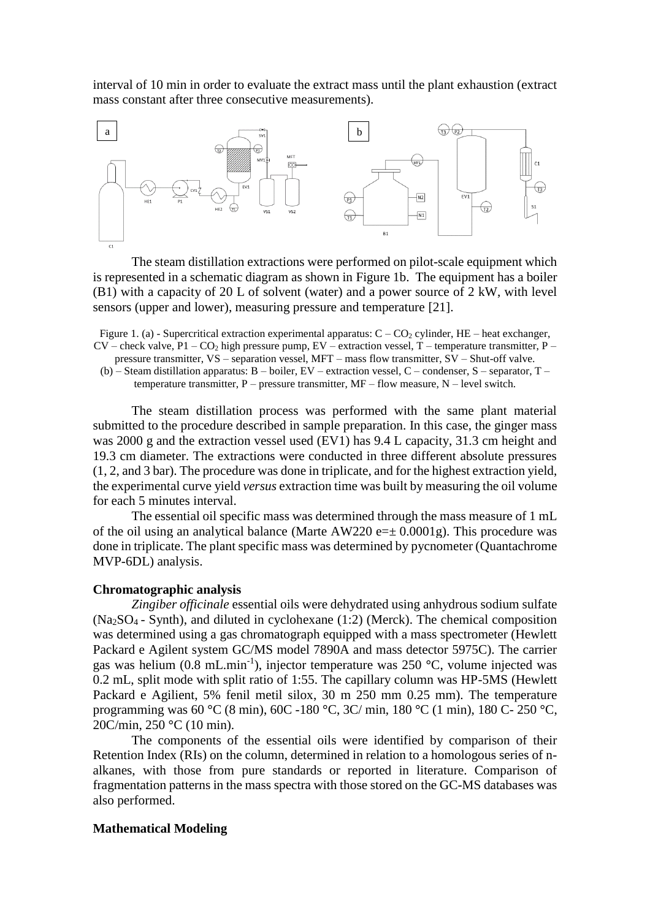interval of 10 min in order to evaluate the extract mass until the plant exhaustion (extract mass constant after three consecutive measurements).



The steam distillation extractions were performed on pilot-scale equipment which is represented in a schematic diagram as shown in Figure 1b. The equipment has a boiler (B1) with a capacity of 20 L of solvent (water) and a power source of 2 kW, with level sensors (upper and lower), measuring pressure and temperature [21].

Figure 1. (a) - Supercritical extraction experimental apparatus:  $C - CO_2$  cylinder, HE – heat exchanger,  $CV$  – check valve,  $P1 - CO_2$  high pressure pump,  $EV$  – extraction vessel, T – temperature transmitter, P – pressure transmitter, VS – separation vessel, MFT – mass flow transmitter, SV – Shut-off valve.

(b) – Steam distillation apparatus: B – boiler, EV – extraction vessel, C – condenser, S – separator, T – temperature transmitter,  $P$  – pressure transmitter,  $MF$  – flow measure,  $N$  – level switch.

The steam distillation process was performed with the same plant material submitted to the procedure described in sample preparation. In this case, the ginger mass was 2000 g and the extraction vessel used (EV1) has 9.4 L capacity, 31.3 cm height and 19.3 cm diameter. The extractions were conducted in three different absolute pressures (1, 2, and 3 bar). The procedure was done in triplicate, and for the highest extraction yield, the experimental curve yield *versus* extraction time was built by measuring the oil volume for each 5 minutes interval.

The essential oil specific mass was determined through the mass measure of 1 mL of the oil using an analytical balance (Marte  $AW220 e=\pm 0.0001g$ ). This procedure was done in triplicate. The plant specific mass was determined by pycnometer (Quantachrome MVP-6DL) analysis.

### **Chromatographic analysis**

*Zingiber officinale* essential oils were dehydrated using anhydrous sodium sulfate (Na2SO4 - Synth), and diluted in cyclohexane (1:2) (Merck). The chemical composition was determined using a gas chromatograph equipped with a mass spectrometer (Hewlett Packard e Agilent system GC/MS model 7890A and mass detector 5975C). The carrier gas was helium (0.8 mL.min-1 ), injector temperature was 250 **°**C, volume injected was 0.2 mL, split mode with split ratio of 1:55. The capillary column was HP-5MS (Hewlett Packard e Agilient, 5% fenil metil silox, 30 m 250 mm 0.25 mm). The temperature programming was 60 **°**C (8 min), 60C -180 **°**C, 3C/ min, 180 **°**C (1 min), 180 C- 250 **°**C, 20C/min, 250 **°**C (10 min).

The components of the essential oils were identified by comparison of their Retention Index (RIs) on the column, determined in relation to a homologous series of nalkanes, with those from pure standards or reported in literature. Comparison of fragmentation patterns in the mass spectra with those stored on the GC-MS databases was also performed.

#### **Mathematical Modeling**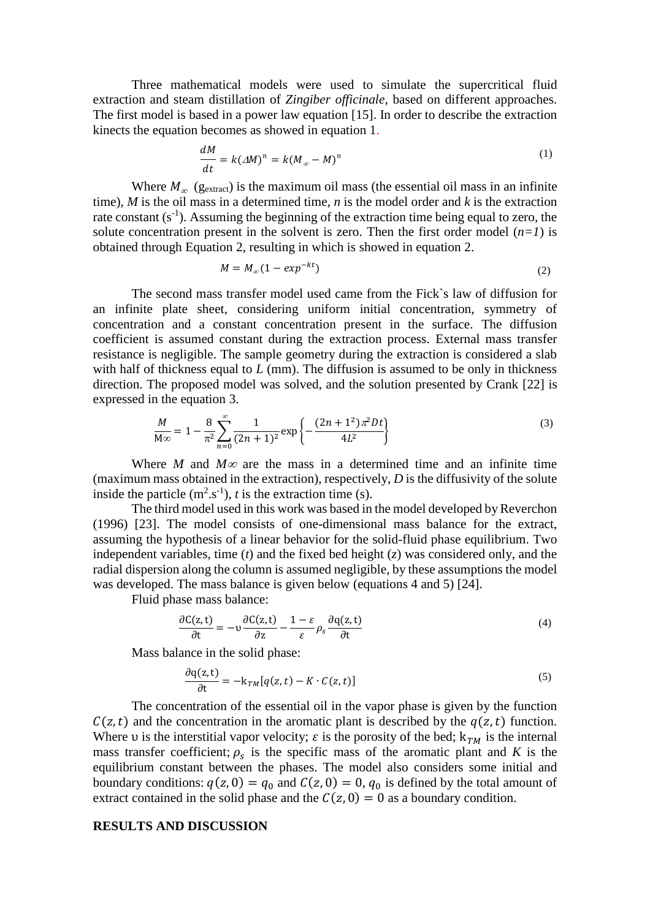Three mathematical models were used to simulate the supercritical fluid extraction and steam distillation of *Zingiber officinale*, based on different approaches. The first model is based in a power law equation [15]. In order to describe the extraction kinects the equation becomes as showed in equation 1.

$$
\frac{dM}{dt} = k(\Delta M)^n = k(M_\infty - M)^n \tag{1}
$$

Where  $M_{\infty}$  (g<sub>extract</sub>) is the maximum oil mass (the essential oil mass in an infinite time), *M* is the oil mass in a determined time, *n* is the model order and *k* is the extraction rate constant  $(s^{-1})$ . Assuming the beginning of the extraction time being equal to zero, the solute concentration present in the solvent is zero. Then the first order model  $(n=1)$  is obtained through Equation 2, resulting in which is showed in equation 2.

$$
M = M_{\infty} (1 - exp^{-kt})
$$
 (2)

The second mass transfer model used came from the Fick`s law of diffusion for an infinite plate sheet, considering uniform initial concentration, symmetry of concentration and a constant concentration present in the surface. The diffusion coefficient is assumed constant during the extraction process. External mass transfer resistance is negligible. The sample geometry during the extraction is considered a slab with half of thickness equal to *L* (mm). The diffusion is assumed to be only in thickness direction. The proposed model was solved, and the solution presented by Crank [22] is expressed in the equation 3.

$$
\frac{M}{M\infty} = 1 - \frac{8}{\pi^2} \sum_{n=0}^{\infty} \frac{1}{(2n+1)^2} \exp\left\{-\frac{(2n+1^2)\pi^2 Dt}{4L^2}\right\}
$$
(3)

Where *M* and  $M\infty$  are the mass in a determined time and an infinite time (maximum mass obtained in the extraction), respectively, *D* is the diffusivity of the solute inside the particle  $(m^2.s^{-1})$ , *t* is the extraction time (s).

The third model used in this work was based in the model developed by Reverchon (1996) [23]. The model consists of one-dimensional mass balance for the extract, assuming the hypothesis of a linear behavior for the solid-fluid phase equilibrium. Two independent variables, time (*t*) and the fixed bed height (*z*) was considered only, and the radial dispersion along the column is assumed negligible, by these assumptions the model was developed. The mass balance is given below (equations 4 and 5) [24].

Fluid phase mass balance:

$$
\frac{\partial C(z,t)}{\partial t} = -v \frac{\partial C(z,t)}{\partial z} - \frac{1-\varepsilon}{\varepsilon} \rho_s \frac{\partial q(z,t)}{\partial t}
$$
(4)

Mass balance in the solid phase:

$$
\frac{\partial q(z,t)}{\partial t} = -k_{TM}[q(z,t) - K \cdot C(z,t)] \tag{5}
$$

The concentration of the essential oil in the vapor phase is given by the function  $C(z,t)$  and the concentration in the aromatic plant is described by the  $q(z,t)$  function. Where v is the interstitial vapor velocity;  $\varepsilon$  is the porosity of the bed;  $k_{TM}$  is the internal mass transfer coefficient;  $\rho_s$  is the specific mass of the aromatic plant and *K* is the equilibrium constant between the phases. The model also considers some initial and boundary conditions:  $q(z, 0) = q_0$  and  $C(z, 0) = 0$ ,  $q_0$  is defined by the total amount of extract contained in the solid phase and the  $C(z, 0) = 0$  as a boundary condition.

#### **RESULTS AND DISCUSSION**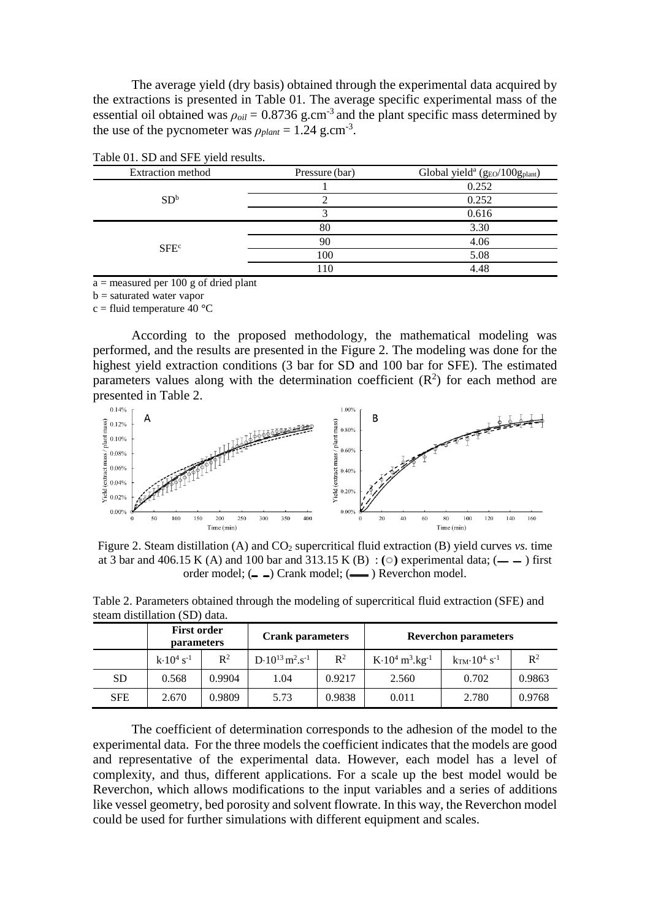The average yield (dry basis) obtained through the experimental data acquired by the extractions is presented in Table 01. The average specific experimental mass of the essential oil obtained was  $\rho_{oil} = 0.8736$  g.cm<sup>-3</sup> and the plant specific mass determined by the use of the pycnometer was  $\rho_{plant} = 1.24$  g.cm<sup>-3</sup>.

| <b>Extraction</b> method | Pressure (bar) | Global yield <sup>a</sup> ( $g_{EO}/100g_{plant}$ ) |  |  |
|--------------------------|----------------|-----------------------------------------------------|--|--|
|                          |                | 0.252                                               |  |  |
| SD <sup>b</sup>          |                | 0.252                                               |  |  |
|                          |                | 0.616                                               |  |  |
| SFE <sup>c</sup>         | 80             | 3.30                                                |  |  |
|                          | 90             | 4.06                                                |  |  |
|                          | 100            | 5.08                                                |  |  |
|                          | 110            | 4.48                                                |  |  |

 $a =$  measured per 100 g of dried plant

 $b =$  saturated water vapor

c = fluid temperature 40 **°**C

According to the proposed methodology, the mathematical modeling was performed, and the results are presented in the Figure 2. The modeling was done for the highest yield extraction conditions (3 bar for SD and 100 bar for SFE). The estimated parameters values along with the determination coefficient  $(R^2)$  for each method are presented in Table 2.



Figure 2. Steam distillation (A) and CO<sub>2</sub> supercritical fluid extraction (B) yield curves *vs.* time at 3 bar and 406.15 K (A) and 100 bar and 313.15 K (B) :  $\circ$  experimental data;  $\circ$  -  $\circ$  first order model;  $($  -  $)$  Crank model;  $($  -  $)$  Reverchon model.

| $\overline{\text{S}}$ cam distination $\overline{\text{S}}$ D) data. |                                         |                |                                                   |                |                                                 |                                          |        |  |  |
|----------------------------------------------------------------------|-----------------------------------------|----------------|---------------------------------------------------|----------------|-------------------------------------------------|------------------------------------------|--------|--|--|
|                                                                      | <b>First order</b><br><b>parameters</b> |                | <b>Crank parameters</b>                           |                | <b>Reverchon parameters</b>                     |                                          |        |  |  |
|                                                                      | $k \cdot 10^4$ s <sup>-1</sup>          | $\mathbb{R}^2$ | $D \cdot 10^{13}$ m <sup>2</sup> .s <sup>-1</sup> | $\mathbb{R}^2$ | $K \cdot 10^4 \text{ m}^3 \cdot \text{kg}^{-1}$ | $k_{TM}$ 10 <sup>4</sup> s <sup>-1</sup> | $R^2$  |  |  |
| SD                                                                   | 0.568                                   | 0.9904         | 1.04                                              | 0.9217         | 2.560                                           | 0.702                                    | 0.9863 |  |  |
|                                                                      |                                         |                |                                                   |                |                                                 |                                          |        |  |  |

SFE | 2.670 | 0.9809 | 5.73 | 0.9838 | 0.011 | 2.780 | 0.9768

Table 2. Parameters obtained through the modeling of supercritical fluid extraction (SFE) and steam distillation (SD) data.

The coefficient of determination corresponds to the adhesion of the model to the experimental data. For the three models the coefficient indicates that the models are good and representative of the experimental data. However, each model has a level of complexity, and thus, different applications. For a scale up the best model would be Reverchon, which allows modifications to the input variables and a series of additions like vessel geometry, bed porosity and solvent flowrate. In this way, the Reverchon model could be used for further simulations with different equipment and scales.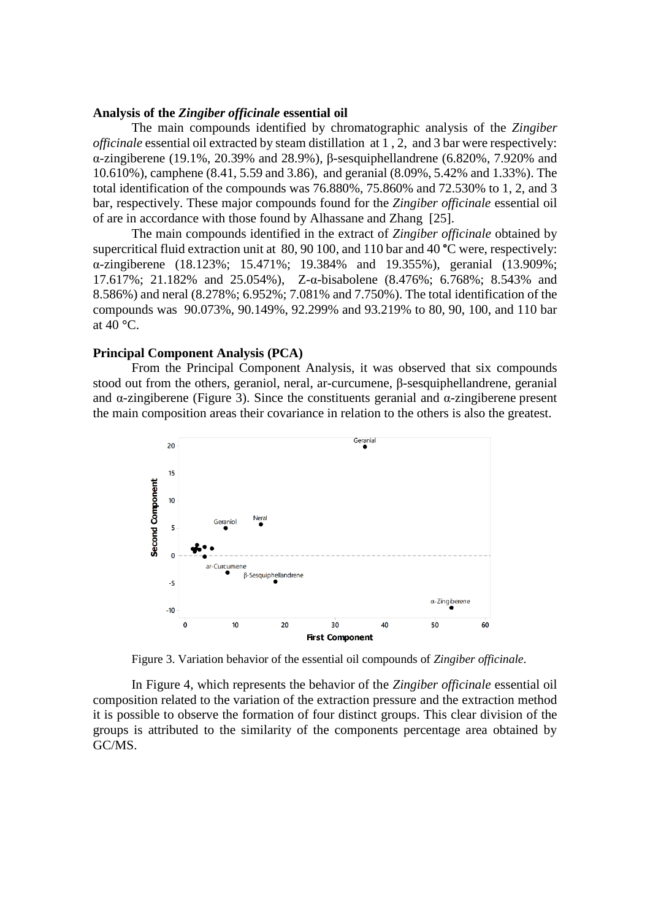#### **Analysis of the** *Zingiber officinale* **essential oil**

The main compounds identified by chromatographic analysis of the *Zingiber officinale* essential oil extracted by steam distillation at 1 , 2, and 3 bar were respectively: α-zingiberene (19.1%, 20.39% and 28.9%), β-sesquiphellandrene (6.820%, 7.920% and 10.610%), camphene (8.41, 5.59 and 3.86), and geranial (8.09%, 5.42% and 1.33%). The total identification of the compounds was 76.880%, 75.860% and 72.530% to 1, 2, and 3 bar, respectively. These major compounds found for the *Zingiber officinale* essential oil of are in accordance with those found by Alhassane and Zhang [25].

The main compounds identified in the extract of *Zingiber officinale* obtained by supercritical fluid extraction unit at 80, 90 100, and 110 bar and 40 **°**C were, respectively: α-zingiberene (18.123%; 15.471%; 19.384% and 19.355%), geranial (13.909%; 17.617%; 21.182% and 25.054%), Z-α-bisabolene (8.476%; 6.768%; 8.543% and 8.586%) and neral (8.278%; 6.952%; 7.081% and 7.750%). The total identification of the compounds was 90.073%, 90.149%, 92.299% and 93.219% to 80, 90, 100, and 110 bar at 40 **°**C.

## **Principal Component Analysis (PCA)**

From the Principal Component Analysis, it was observed that six compounds stood out from the others, geraniol, neral, ar-curcumene, β-sesquiphellandrene, geranial and  $\alpha$ -zingiberene (Figure 3). Since the constituents geranial and  $\alpha$ -zingiberene present the main composition areas their covariance in relation to the others is also the greatest.



Figure 3. Variation behavior of the essential oil compounds of *Zingiber officinale*.

In Figure 4, which represents the behavior of the *Zingiber officinale* essential oil composition related to the variation of the extraction pressure and the extraction method it is possible to observe the formation of four distinct groups. This clear division of the groups is attributed to the similarity of the components percentage area obtained by GC/MS.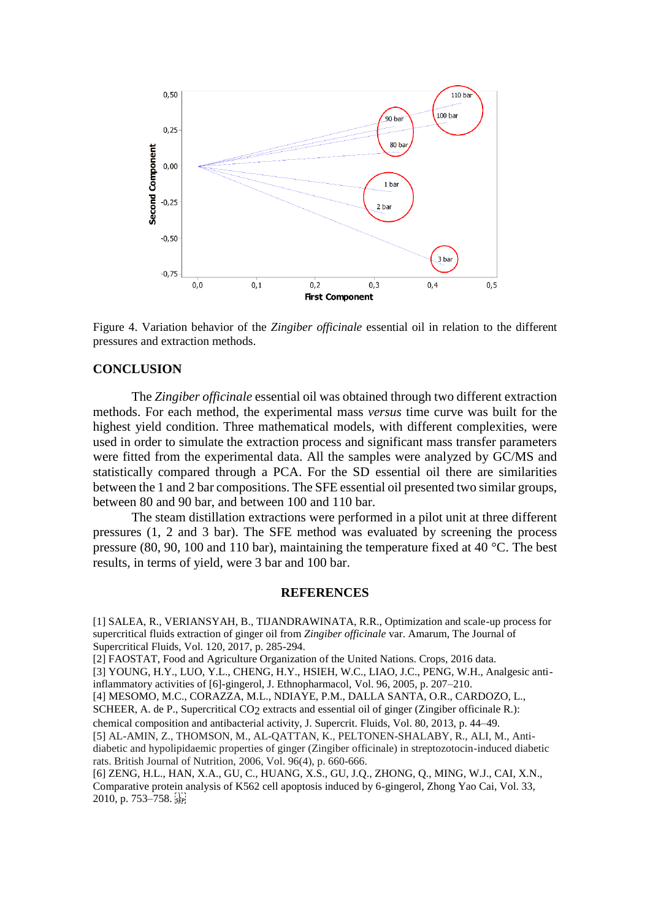

Figure 4. Variation behavior of the *Zingiber officinale* essential oil in relation to the different pressures and extraction methods.

## **CONCLUSION**

The *Zingiber officinale* essential oil was obtained through two different extraction methods. For each method, the experimental mass *versus* time curve was built for the highest yield condition. Three mathematical models, with different complexities, were used in order to simulate the extraction process and significant mass transfer parameters were fitted from the experimental data. All the samples were analyzed by GC/MS and statistically compared through a PCA. For the SD essential oil there are similarities between the 1 and 2 bar compositions. The SFE essential oil presented two similar groups, between 80 and 90 bar, and between 100 and 110 bar.

The steam distillation extractions were performed in a pilot unit at three different pressures (1, 2 and 3 bar). The SFE method was evaluated by screening the process pressure (80, 90, 100 and 110 bar), maintaining the temperature fixed at 40 °C. The best results, in terms of yield, were 3 bar and 100 bar.

## **REFERENCES**

[1] SALEA, R., VERIANSYAH, B., TIJANDRAWINATA, R.R., Optimization and scale-up process for supercritical fluids extraction of ginger oil from *Zingiber officinale* var. Amarum, The Journal of Supercritical Fluids, Vol. 120, 2017, p. 285-294.

[2] FAOSTAT, Food and Agriculture Organization of the United Nations. Crops, 2016 data.

[3] YOUNG, H.Y., LUO, Y.L., CHENG, H.Y., HSIEH, W.C., LIAO, J.C., PENG, W.H., Analgesic antiinflammatory activities of [6]-gingerol, J. Ethnopharmacol, Vol. 96, 2005, p. 207–210.

[4] MESOMO, M.C., CORAZZA, M.L., NDIAYE, P.M., DALLA SANTA, O.R., CARDOZO, L.,

SCHEER, A. de P., Supercritical CO2 extracts and essential oil of ginger (Zingiber officinale R.):

chemical composition and antibacterial activity, J. Supercrit. Fluids, Vol. 80, 2013, p. 44–49.

[5] AL-AMIN, Z., THOMSON, M., AL-QATTAN, K., PELTONEN-SHALABY, R., ALI, M., Antidiabetic and hypolipidaemic properties of ginger (Zingiber officinale) in streptozotocin-induced diabetic rats. British Journal of Nutrition, 2006, Vol. 96(4), p. 660-666.

[6] ZENG, H.L., HAN, X.A., GU, C., HUANG, X.S., GU, J.Q., ZHONG, Q., MING, W.J., CAI, X.N., Comparative protein analysis of K562 cell apoptosis induced by 6-gingerol, Zhong Yao Cai, Vol. 33, 2010, p. 753–758.